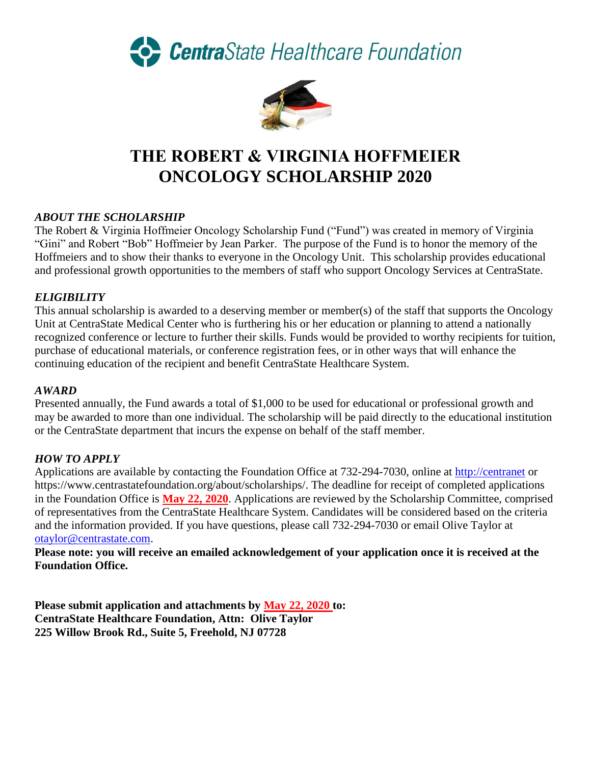CentraState Healthcare Foundation



# **THE ROBERT & VIRGINIA HOFFMEIER ONCOLOGY SCHOLARSHIP 2020**

# *ABOUT THE SCHOLARSHIP*

The Robert & Virginia Hoffmeier Oncology Scholarship Fund ("Fund") was created in memory of Virginia "Gini" and Robert "Bob" Hoffmeier by Jean Parker. The purpose of the Fund is to honor the memory of the Hoffmeiers and to show their thanks to everyone in the Oncology Unit. This scholarship provides educational and professional growth opportunities to the members of staff who support Oncology Services at CentraState.

# *ELIGIBILITY*

This annual scholarship is awarded to a deserving member or member(s) of the staff that supports the Oncology Unit at CentraState Medical Center who is furthering his or her education or planning to attend a nationally recognized conference or lecture to further their skills. Funds would be provided to worthy recipients for tuition, purchase of educational materials, or conference registration fees, or in other ways that will enhance the continuing education of the recipient and benefit CentraState Healthcare System.

#### *AWARD*

Presented annually, the Fund awards a total of \$1,000 to be used for educational or professional growth and may be awarded to more than one individual. The scholarship will be paid directly to the educational institution or the CentraState department that incurs the expense on behalf of the staff member.

### *HOW TO APPLY*

Applications are available by contacting the Foundation Office at 732-294-7030, online at [http://centranet](http://centranet/) or https://www.centrastatefoundation.org/about/scholarships/. The deadline for receipt of completed applications in the Foundation Office is **May 22, 2020**. Applications are reviewed by the Scholarship Committee, comprised of representatives from the CentraState Healthcare System. Candidates will be considered based on the criteria and the information provided. If you have questions, please call 732-294-7030 or email Olive Taylor at [otaylor@centrastate.com.](mailto:otaylor@centrastate.com)

**Please note: you will receive an emailed acknowledgement of your application once it is received at the Foundation Office.**

**Please submit application and attachments by May 22, 2020 to: CentraState Healthcare Foundation, Attn: Olive Taylor 225 Willow Brook Rd., Suite 5, Freehold, NJ 07728**